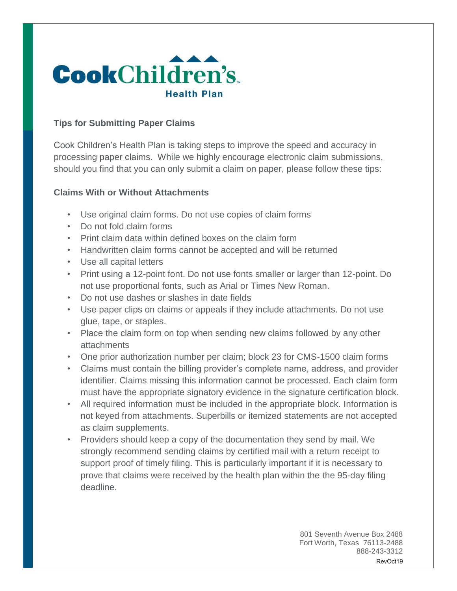

### **Tips for Submitting Paper Claims**

Cook Children's Health Plan is taking steps to improve the speed and accuracy in processing paper claims. While we highly encourage electronic claim submissions, should you find that you can only submit a claim on paper, please follow these tips:

### **Claims With or Without Attachments**

- Use original claim forms. Do not use copies of claim forms
- Do not fold claim forms
- Print claim data within defined boxes on the claim form
- Handwritten claim forms cannot be accepted and will be returned
- Use all capital letters
- Print using a 12-point font. Do not use fonts smaller or larger than 12-point. Do not use proportional fonts, such as Arial or Times New Roman.
- Do not use dashes or slashes in date fields
- Use paper clips on claims or appeals if they include attachments. Do not use glue, tape, or staples.
- Place the claim form on top when sending new claims followed by any other attachments
- One prior authorization number per claim; block 23 for CMS-1500 claim forms
- Claims must contain the billing provider's complete name, address, and provider identifier. Claims missing this information cannot be processed. Each claim form must have the appropriate signatory evidence in the signature certification block.
- All required information must be included in the appropriate block. Information is not keyed from attachments. Superbills or itemized statements are not accepted as claim supplements.
- Providers should keep a copy of the documentation they send by mail. We strongly recommend sending claims by certified mail with a return receipt to support proof of timely filing. This is particularly important if it is necessary to prove that claims were received by the health plan within the the 95-day filing deadline.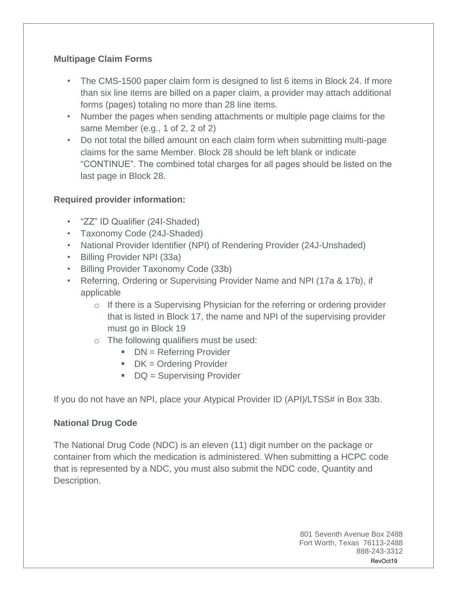## **Multipage Claim Forms**

- The CMS-1500 paper claim form is designed to list 6 items in Block 24. If more than six line items are billed on a paper claim, a provider may attach additional forms (pages) totaling no more than 28 line items.
- Number the pages when sending attachments or multiple page claims for the same Member (e.g., 1 of 2, 2 of 2)
- Do not total the billed amount on each claim form when submitting multi-page claims for the same Member. Block 28 should be left blank or indicate "CONTINUE". The combined total charges for all pages should be listed on the last page in Block 28.

# **Required provider information:**

- "ZZ" ID Qualifier (24I-Shaded)
- Taxonomy Code (24J-Shaded)
- National Provider Identifier (NPI) of Rendering Provider (24J-Unshaded)
- Billing Provider NPI (33a)
- Billing Provider Taxonomy Code (33b)
- Referring, Ordering or Supervising Provider Name and NPI (17a & 17b), if applicable
	- o If there is a Supervising Physician for the referring or ordering provider that is listed in Block 17, the name and NPI of the supervising provider must go in Block 19
	- o The following qualifiers must be used:
		- $\blacksquare$  DN = Referring Provider
		- $\blacksquare$  DK = Ordering Provider
		- $\blacksquare$  DQ = Supervising Provider

If you do not have an NPI, place your Atypical Provider ID (API)/LTSS# in Box 33b.

## **National Drug Code**

The National Drug Code (NDC) is an eleven (11) digit number on the package or container from which the medication is administered. When submitting a HCPC code that is represented by a NDC, you must also submit the NDC code, Quantity and Description.